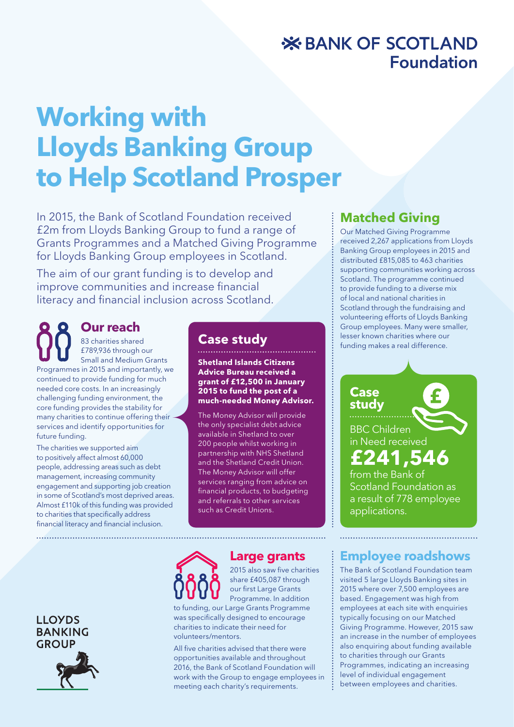# **X BANK OF SCOTLAND Foundation**

# **Working with Lloyds Banking Group to Help Scotland Prosper**

In 2015, the Bank of Scotland Foundation received £2m from Lloyds Banking Group to fund a range of Grants Programmes and a Matched Giving Programme for Lloyds Banking Group employees in Scotland.

The aim of our grant funding is to develop and improve communities and increase financial literacy and financial inclusion across Scotland.

#### **Our reach** 83 charities shared £789,936 through our Small and Medium Grants Programmes in 2015 and importantly, we continued to provide funding for much needed core costs. In an increasingly challenging funding environment, the core funding provides the stability for many charities to continue offering their services and identify opportunities for future funding.

The charities we supported aim to positively affect almost 60,000 people, addressing areas such as debt management, increasing community engagement and supporting job creation in some of Scotland's most deprived areas. Almost £110k of this funding was provided to charities that specifically address financial literacy and financial inclusion.

### **Case study**

**Shetland Islands Citizens Advice Bureau received a grant of £12,500 in January 2015 to fund the post of a much-needed Money Advisor.** 

The Money Advisor will provide the only specialist debt advice available in Shetland to over 200 people whilst working in partnership with NHS Shetland and the Shetland Credit Union. The Money Advisor will offer services ranging from advice on financial products, to budgeting and referrals to other services such as Credit Unions.

# **Matched Giving**

Our Matched Giving Programme received 2,267 applications from Lloyds Banking Group employees in 2015 and distributed £815,085 to 463 charities supporting communities working across Scotland. The programme continued to provide funding to a diverse mix of local and national charities in Scotland through the fundraising and volunteering efforts of Lloyds Banking Group employees. Many were smaller, lesser known charities where our funding makes a real difference.

### BBC Children in Need received **£241,546**

**Case study**

from the Bank of Scotland Foundation as a result of 778 employee applications.

## **Employee roadshows**

The Bank of Scotland Foundation team visited 5 large Lloyds Banking sites in 2015 where over 7,500 employees are based. Engagement was high from employees at each site with enquiries typically focusing on our Matched Giving Programme. However, 2015 saw an increase in the number of employees also enquiring about funding available to charities through our Grants Programmes, indicating an increasing level of individual engagement between employees and charities.



### **Large grants**

2015 also saw five charities share £405,087 through our first Large Grants Programme. In addition

to funding, our Large Grants Programme was specifically designed to encourage charities to indicate their need for volunteers/mentors.

All five charities advised that there were opportunities available and throughout 2016, the Bank of Scotland Foundation will work with the Group to engage employees in meeting each charity's requirements.